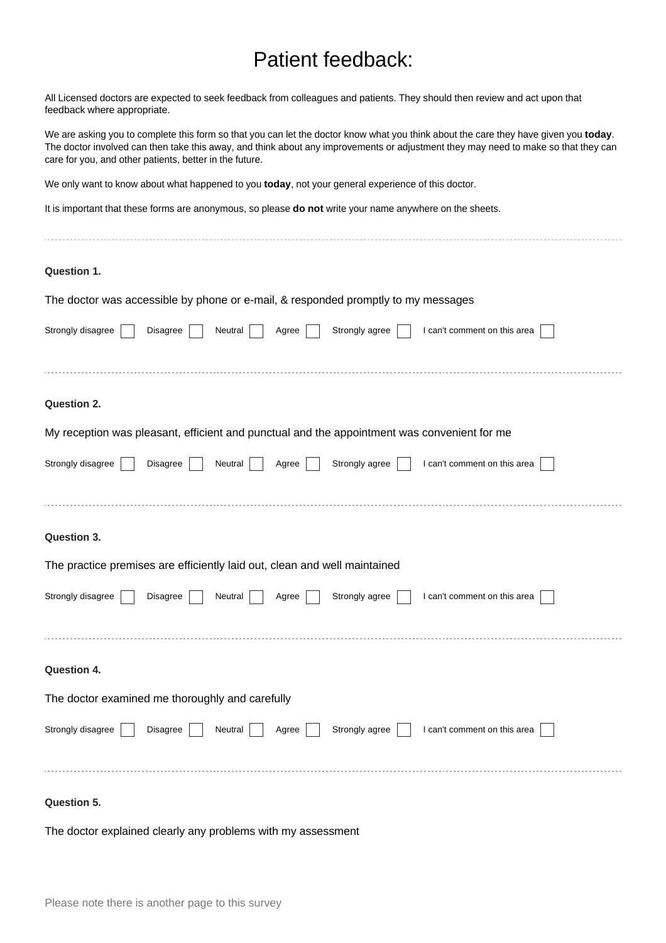## Patient feedback:

All Licensed doctors are expected to seek feedback from colleagues and patients. They should then review and act upon that feedback where appropriate.

We are asking you to complete this form so that you can let the doctor know what you think about the care they have given you **today**. The doctor involved can then take this away, and think about any improvements or adjustment they may need to make so that they can care for you, and other patients, better in the future.

We only want to know about what happened to you **today**, not your general experience of this doctor.

It is important that these forms are anonymous, so please **do not** write your name anywhere on the sheets.

| Question 1.                                                                                                |
|------------------------------------------------------------------------------------------------------------|
| The doctor was accessible by phone or e-mail, & responded promptly to my messages                          |
| Strongly disagree<br>Strongly agree<br>Disagree<br>Neutral<br>I can't comment on this area<br>Agree        |
|                                                                                                            |
| <b>Question 2.</b>                                                                                         |
| My reception was pleasant, efficient and punctual and the appointment was convenient for me                |
| Strongly disagree<br>Disagree<br>Neutral<br>Strongly agree<br>I can't comment on this area<br>Agree        |
|                                                                                                            |
| Question 3.                                                                                                |
| The practice premises are efficiently laid out, clean and well maintained                                  |
| Strongly disagree<br><b>Disagree</b><br>Neutral<br>Strongly agree<br>I can't comment on this area<br>Agree |
|                                                                                                            |
| Question 4.                                                                                                |
| The doctor examined me thoroughly and carefully                                                            |
| Strongly disagree<br>Strongly agree<br>I can't comment on this area<br>Disagree<br>Neutral<br>Agree        |
|                                                                                                            |
| <b>Question 5.</b>                                                                                         |

The doctor explained clearly any problems with my assessment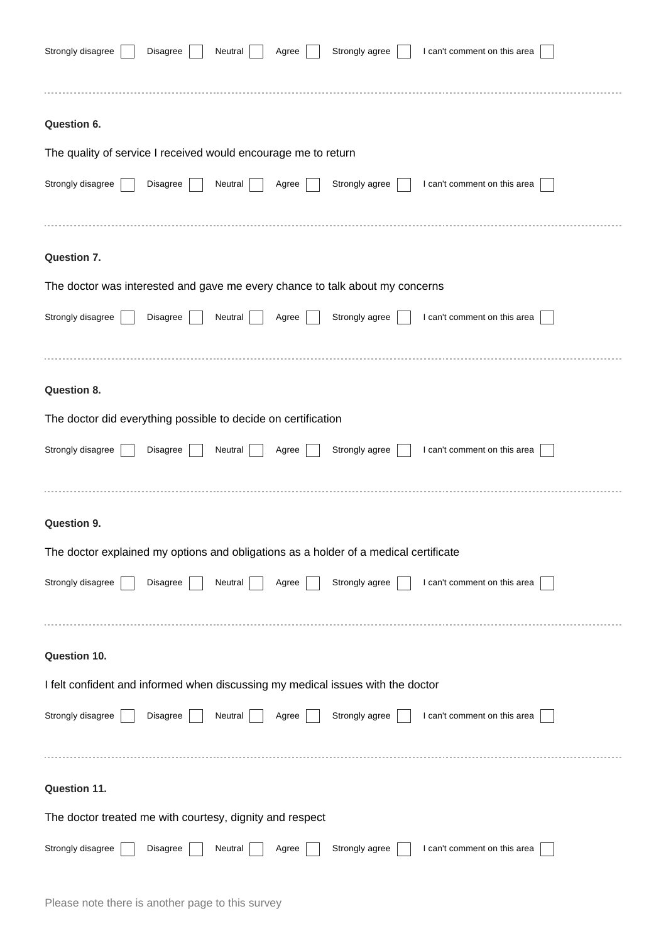| Strongly disagree<br>Strongly agree<br>I can't comment on this area<br>Disagree<br>Neutral<br>Agree |
|-----------------------------------------------------------------------------------------------------|
| Question 6.                                                                                         |
| The quality of service I received would encourage me to return                                      |
| Strongly disagree<br>Strongly agree<br>I can't comment on this area<br>Disagree<br>Neutral<br>Agree |
|                                                                                                     |
| Question 7.                                                                                         |
| The doctor was interested and gave me every chance to talk about my concerns                        |
| Strongly disagree<br>I can't comment on this area<br>Strongly agree<br>Disagree<br>Neutral<br>Agree |
| Question 8.                                                                                         |
| The doctor did everything possible to decide on certification                                       |
| Strongly disagree<br>Strongly agree<br>I can't comment on this area<br>Disagree<br>Neutral<br>Agree |
| <b>Question 9.</b>                                                                                  |
| The doctor explained my options and obligations as a holder of a medical certificate                |
| Strongly disagree<br>Strongly agree<br>I can't comment on this area<br>Disagree<br>Neutral<br>Agree |
|                                                                                                     |
| Question 10.                                                                                        |
| I felt confident and informed when discussing my medical issues with the doctor                     |
| Strongly disagree<br>Strongly agree<br>Disagree<br>I can't comment on this area<br>Neutral<br>Agree |
|                                                                                                     |
| Question 11.                                                                                        |
| The doctor treated me with courtesy, dignity and respect                                            |
| Strongly disagree<br>Neutral<br>Strongly agree<br>I can't comment on this area<br>Disagree<br>Agree |